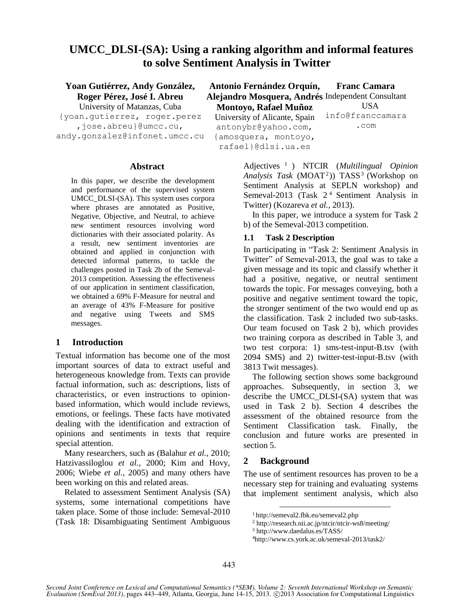# **UMCC\_DLSI-(SA): Using a ranking algorithm and informal features to solve Sentiment Analysis in Twitter**

#### **Yoan Gutiérrez, Andy González, Roger Pérez, José I. Abreu**

University of Matanzas, Cuba

{yoan.gutierrez, roger.perez ,jose.abreu}@umcc.cu, andy.gonzalez@infonet.umcc.cu

#### **Abstract**

In this paper, we describe the development and performance of the supervised system UMCC\_DLSI-(SA). This system uses corpora where phrases are annotated as Positive, Negative, Objective, and Neutral, to achieve new sentiment resources involving word dictionaries with their associated polarity. As a result, new sentiment inventories are obtained and applied in conjunction with detected informal patterns, to tackle the challenges posted in Task 2b of the Semeval-2013 competition. Assessing the effectiveness of our application in sentiment classification, we obtained a 69% F-Measure for neutral and an average of 43% F-Measure for positive and negative using Tweets and SMS messages.

## **1 Introduction**

Textual information has become one of the most important sources of data to extract useful and heterogeneous knowledge from. Texts can provide factual information, such as: descriptions, lists of characteristics, or even instructions to opinionbased information, which would include reviews, emotions, or feelings. These facts have motivated dealing with the identification and extraction of opinions and sentiments in texts that require special attention.

Many researchers, such as (Balahur *et al.*, 2010; Hatzivassiloglou *et al.*, 2000; Kim and Hovy, 2006; Wiebe *et al.*, 2005) and many others have been working on this and related areas.

Related to assessment Sentiment Analysis (SA) systems, some international competitions have taken place. Some of those include: Semeval-2010 (Task 18: Disambiguating Sentiment Ambiguous

**Antonio Fernández Orquín, Alejandro Mosquera, Andrés**  Independent Consultant **Montoyo, Rafael Muñoz** University of Alicante, Spain antonybr@yahoo.com, {amosquera, montoyo, rafael}@dlsi.ua.es **Franc Camara** USA info@franccamara .com

> Adjectives <sup>1</sup> ) NTCIR (*Multilingual Opinion*  Analysis Task (MOAT<sup>2</sup>)) TASS<sup>3</sup> (Workshop on Sentiment Analysis at SEPLN workshop) and Semeval-2013 (Task 2<sup>4</sup> Sentiment Analysis in Twitter) (Kozareva *et al.*, 2013).

> In this paper, we introduce a system for Task 2 b) of the Semeval-2013 competition.

## **1.1 Task 2 Description**

In participating in "Task 2: Sentiment Analysis in Twitter" of Semeval-2013, the goal was to take a given message and its topic and classify whether it had a positive, negative, or neutral sentiment towards the topic. For messages conveying, both a positive and negative sentiment toward the topic, the stronger sentiment of the two would end up as the classification. Task 2 included two sub-tasks. Our team focused on Task 2 b), which provides two training corpora as described in Table 3, and two test corpora: 1) sms-test-input-B.tsv (with 2094 SMS) and 2) twitter-test-input-B.tsv (with 3813 Twit messages).

The following section shows some background approaches. Subsequently, in section 3, we describe the UMCC\_DLSI-(SA) system that was used in Task 2 b). Section 4 describes the assessment of the obtained resource from the Sentiment Classification task. Finally, the conclusion and future works are presented in section 5.

## **2 Background**

The use of sentiment resources has proven to be a necessary step for training and evaluating systems that implement sentiment analysis, which also

<sup>1</sup> http://semeval2.fbk.eu/semeval2.php

<sup>2</sup> http://research.nii.ac.jp/ntcir/ntcir-ws8/meeting/

<sup>3</sup> http://www.daedalus.es/TASS/

<sup>4</sup>http://www.cs.york.ac.uk/semeval-2013/task2/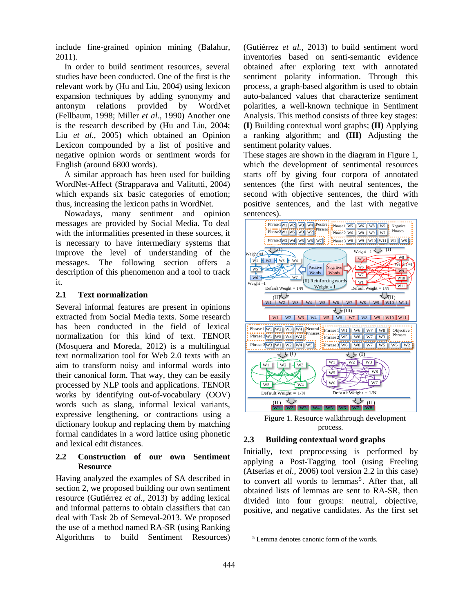include fine-grained opinion mining (Balahur, 2011).

In order to build sentiment resources, several studies have been conducted. One of the first is the relevant work by (Hu and Liu, 2004) using lexicon expansion techniques by adding synonymy and antonym relations provided by WordNet (Fellbaum, 1998; Miller *et al.*, 1990) Another one is the research described by (Hu and Liu, 2004; Liu *et al.*, 2005) which obtained an Opinion Lexicon compounded by a list of positive and negative opinion words or sentiment words for English (around 6800 words).

A similar approach has been used for building WordNet-Affect (Strapparava and Valitutti, 2004) which expands six basic categories of emotion; thus, increasing the lexicon paths in WordNet.

Nowadays, many sentiment and opinion messages are provided by Social Media. To deal with the informalities presented in these sources, it is necessary to have intermediary systems that improve the level of understanding of the messages. The following section offers a description of this phenomenon and a tool to track it.

#### **2.1 Text normalization**

Several informal features are present in opinions extracted from Social Media texts. Some research has been conducted in the field of lexical normalization for this kind of text. TENOR (Mosquera and Moreda, 2012) is a multilingual text normalization tool for Web 2.0 texts with an aim to transform noisy and informal words into their canonical form. That way, they can be easily processed by NLP tools and applications. TENOR works by identifying out-of-vocabulary (OOV) words such as slang, informal lexical variants, expressive lengthening, or contractions using a dictionary lookup and replacing them by matching formal candidates in a word lattice using phonetic and lexical edit distances.

#### **2.2 Construction of our own Sentiment Resource**

Having analyzed the examples of SA described in section 2, we proposed building our own sentiment resource (Gutiérrez *et al.*, 2013) by adding lexical and informal patterns to obtain classifiers that can deal with Task 2b of Semeval-2013. We proposed the use of a method named RA-SR (using Ranking Algorithms to build Sentiment Resources) (Gutiérrez *et al.*, 2013) to build sentiment word inventories based on senti-semantic evidence obtained after exploring text with annotated sentiment polarity information. Through this process, a graph-based algorithm is used to obtain auto-balanced values that characterize sentiment polarities, a well-known technique in Sentiment Analysis. This method consists of three key stages: **(I)** Building contextual word graphs; **(II)** Applying a ranking algorithm; and **(III)** Adjusting the sentiment polarity values.

These stages are shown in the diagram in Figure 1, which the development of sentimental resources starts off by giving four corpora of annotated sentences (the first with neutral sentences, the second with objective sentences, the third with positive sentences, and the last with negative sentences).



Figure 1. Resource walkthrough development process.

# **2.3 Building contextual word graphs**

Initially, text preprocessing is performed by applying a Post-Tagging tool (using Freeling (Atserias *et al.*, 2006) tool version 2.2 in this case) to convert all words to lemmas<sup>5</sup>. After that, all obtained lists of lemmas are sent to RA-SR, then divided into four groups: neutral, objective, positive, and negative candidates. As the first set

<sup>5</sup> Lemma denotes canonic form of the words.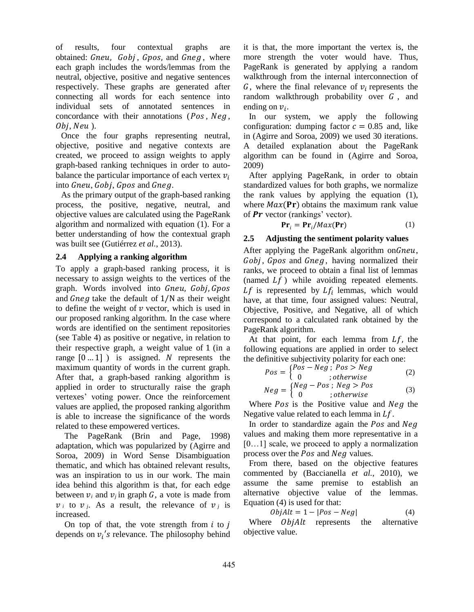of results, four contextual graphs are obtained:  $Gneu$ ,  $Gobj$ ,  $Gpos$ , and  $Gneg$ , where each graph includes the words/lemmas from the neutral, objective, positive and negative sentences respectively. These graphs are generated after connecting all words for each sentence into individual sets of annotated sentences in concordance with their annotations  $(Pos, Neg,$  $Obj, Neu$ ).

Once the four graphs representing neutral, objective, positive and negative contexts are created, we proceed to assign weights to apply graph-based ranking techniques in order to autobalance the particular importance of each vertex  $v_i$ into Gneu, Gobi, Gpos and Gneg.

As the primary output of the graph-based ranking process, the positive, negative, neutral, and objective values are calculated using the PageRank algorithm and normalized with equation (1). For a better understanding of how the contextual graph was built see (Gutiérrez *et al.*, 2013).

#### **2.4 Applying a ranking algorithm**

To apply a graph-based ranking process, it is necessary to assign weights to the vertices of the graph. Words involved into Gneu, Gobj, Gpos and  $\theta$  take the default of  $1/N$  as their weight to define the weight of  $\nu$  vector, which is used in our proposed ranking algorithm. In the case where words are identified on the sentiment repositories (see Table 4) as positive or negative, in relation to their respective graph, a weight value of 1 (in a range  $[0 \dots 1]$  ) is assigned. N represents the maximum quantity of words in the current graph. After that, a graph-based ranking algorithm is applied in order to structurally raise the graph vertexes' voting power. Once the reinforcement values are applied, the proposed ranking algorithm is able to increase the significance of the words related to these empowered vertices.

The PageRank (Brin and Page, 1998) adaptation, which was popularized by (Agirre and Soroa, 2009) in Word Sense Disambiguation thematic, and which has obtained relevant results, was an inspiration to us in our work. The main idea behind this algorithm is that, for each edge between  $v_i$  and  $v_j$  in graph G, a vote is made from  $v_i$  to  $v_j$ . As a result, the relevance of  $v_j$  is increased.

On top of that, the vote strength from  $i$  to  $j$ depends on  $v_i$ 's relevance. The philosophy behind it is that, the more important the vertex is, the more strength the voter would have. Thus, PageRank is generated by applying a random walkthrough from the internal interconnection of G, where the final relevance of  $v_i$  represents the random walkthrough probability over  $G$ , and ending on  $v_i$ .

In our system, we apply the following configuration: dumping factor  $c = 0.85$  and, like in (Agirre and Soroa, 2009) we used 30 iterations. A detailed explanation about the PageRank algorithm can be found in (Agirre and Soroa, 2009)

After applying PageRank, in order to obtain standardized values for both graphs, we normalize the rank values by applying the equation (1), where  $Max(\Pr)$  obtains the maximum rank value of  $Pr$  vector (rankings' vector).

$$
\mathbf{Pr}_{i} = \mathbf{Pr}_{i} / Max(\mathbf{Pr}) \tag{1}
$$

## **2.5 Adjusting the sentiment polarity values**

After applying the PageRank algorithm on $Gneu$ ,  $Gobi$ ,  $Gpos$  and  $Gneg$ , having normalized their ranks, we proceed to obtain a final list of lemmas (named  $Lf$ ) while avoiding repeated elements. Lf is represented by  $Lf_i$  lemmas, which would have, at that time, four assigned values: Neutral, Objective, Positive, and Negative, all of which correspond to a calculated rank obtained by the PageRank algorithm.

At that point, for each lemma from  $Lf$ , the following equations are applied in order to select the definitive subjectivity polarity for each one:

$$
Pos = \begin{cases} Pos - Neg \text{ ; } Pos > Neg \\ 0 & \text{ ; otherwise} \end{cases} \tag{2}
$$
  

$$
Neg = \begin{cases} Neg - Pos \text{ ; } Neg > Pos \\ 0 & \text{ ; otherwise} \end{cases} \tag{3}
$$

Where  $Pos$  is the Positive value and  $Neg$  the Negative value related to each lemma in  $Lf$ .

In order to standardize again the  $Pos$  and  $Neg$ values and making them more representative in a [0...1] scale, we proceed to apply a normalization process over the *Pos* and *Neg* values.

From there, based on the objective features commented by (Baccianella *et al.*, 2010), we assume the same premise to establish an alternative objective value of the lemmas. Equation (4) is used for that:

$$
ObjAlt = 1 - |Pos - Neg|
$$
 (4)

Where *ObjAlt* represents the alternative objective value.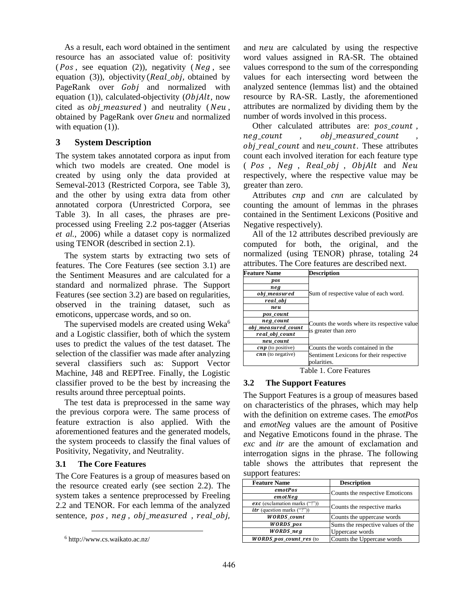As a result, each word obtained in the sentiment resource has an associated value of: positivity ( $Pos$ , see equation (2)), negativity ( $Neg$ , see equation (3)), objectivity ( $Real\_obj$ , obtained by PageRank over *Gobj* and normalized with equation (1)), calculated-objectivity  $(ObjAlt, now)$ cited as  $obj$  measured) and neutrality ( $New$ , obtained by PageRank over Gneu and normalized with equation (1)).

## **3 System Description**

The system takes annotated corpora as input from which two models are created. One model is created by using only the data provided at Semeval-2013 (Restricted Corpora, see Table 3), and the other by using extra data from other annotated corpora (Unrestricted Corpora, see Table 3). In all cases, the phrases are preprocessed using Freeling 2.2 pos-tagger (Atserias *et al.*, 2006) while a dataset copy is normalized using TENOR (described in section 2.1).

The system starts by extracting two sets of features. The Core Features (see section 3.1) are the Sentiment Measures and are calculated for a standard and normalized phrase. The Support Features (see section 3.2) are based on regularities, observed in the training dataset, such as emoticons, uppercase words, and so on.

The supervised models are created using Weka<sup>6</sup> and a Logistic classifier, both of which the system uses to predict the values of the test dataset. The selection of the classifier was made after analyzing several classifiers such as: Support Vector Machine, J48 and REPTree. Finally, the Logistic classifier proved to be the best by increasing the results around three perceptual points.

The test data is preprocessed in the same way the previous corpora were. The same process of feature extraction is also applied. With the aforementioned features and the generated models, the system proceeds to classify the final values of Positivity, Negativity, and Neutrality.

## **3.1 The Core Features**

The Core Features is a group of measures based on the resource created early (see section 2.2). The system takes a sentence preprocessed by Freeling 2.2 and TENOR. For each lemma of the analyzed sentence, pos, neg, obj measured, real obj,

and *neu* are calculated by using the respective word values assigned in RA-SR. The obtained values correspond to the sum of the corresponding values for each intersecting word between the analyzed sentence (lemmas list) and the obtained resource by RA-SR. Lastly, the aforementioned attributes are normalized by dividing them by the number of words involved in this process.

Other calculated attributes are:  $pos\_count$ ,  $neg\_count$ ,  $obj\_measured\_count$ obj real count and neu count. These attributes count each involved iteration for each feature type (Pos, Neg, Real\_obj, ObjAlt and Neu respectively, where the respective value may be greater than zero.

Attributes *cnp* and *cnn* are calculated by counting the amount of lemmas in the phrases contained in the Sentiment Lexicons (Positive and Negative respectively).

All of the 12 attributes described previously are computed for both, the original, and the normalized (using TENOR) phrase, totaling 24 attributes. The Core features are described next.

| <b>Feature Name</b>          | <b>Description</b>                          |  |  |  |  |  |
|------------------------------|---------------------------------------------|--|--|--|--|--|
| pos                          |                                             |  |  |  |  |  |
| neg                          |                                             |  |  |  |  |  |
| obj measured                 | Sum of respective value of each word.       |  |  |  |  |  |
| real obi                     |                                             |  |  |  |  |  |
| neu                          |                                             |  |  |  |  |  |
| pos count                    |                                             |  |  |  |  |  |
| neg count                    | Counts the words where its respective value |  |  |  |  |  |
| obj measured count           | is greater than zero                        |  |  |  |  |  |
| real obj count               |                                             |  |  |  |  |  |
| neu count                    |                                             |  |  |  |  |  |
| $\mathit{cmp}$ (to positive) | Counts the words contained in the           |  |  |  |  |  |
| $cnn$ (to negative)          | Sentiment Lexicons for their respective     |  |  |  |  |  |
|                              | polarities.<br>$\cdots$                     |  |  |  |  |  |

Table 1. Core Features

## **3.2 The Support Features**

The Support Features is a group of measures based on characteristics of the phrases, which may help with the definition on extreme cases. The *emotPos* and *emotNeg* values are the amount of Positive and Negative Emoticons found in the phrase. The *exc* and *itr* are the amount of exclamation and interrogation signs in the phrase. The following table shows the attributes that represent the support features:

| <b>Feature Name</b>                  | <b>Description</b>                |
|--------------------------------------|-----------------------------------|
| emotPos                              | Counts the respective Emoticons   |
| emotNeg                              |                                   |
| $exc$ (exclamation marks $($ "!"))   | Counts the respective marks       |
| <i>itr</i> (question marks $($ "?")) |                                   |
| <b>WORDS_count</b>                   | Counts the uppercase words        |
| <b>WORDS_pos</b>                     | Sums the respective values of the |
| <b>WORDS</b> neg                     | Uppercase words                   |
| <b>WORDS</b> pos count res (to       | Counts the Uppercase words        |

<sup>6</sup> http://www.cs.waikato.ac.nz/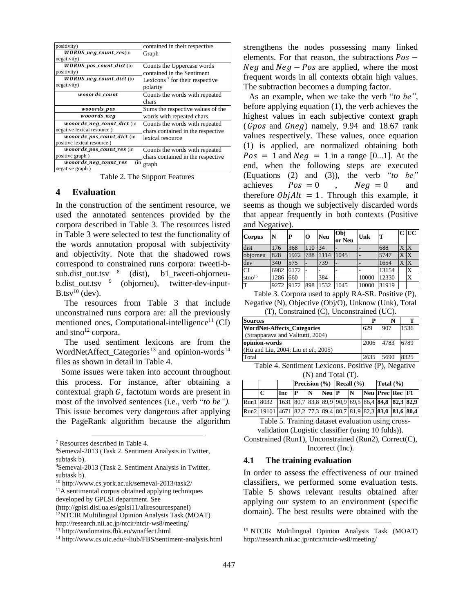| positivity)                     | contained in their respective              |  |  |  |  |  |
|---------------------------------|--------------------------------------------|--|--|--|--|--|
| <b>WORDS_neg_count_res</b> (to  | Graph                                      |  |  |  |  |  |
| negativity)                     |                                            |  |  |  |  |  |
| <b>WORDS_pos_count_dict</b> (to | Counts the Uppercase words                 |  |  |  |  |  |
| positivity)                     | contained in the Sentiment                 |  |  |  |  |  |
| <b>WORDS_neg_count_dict</b> (to | Lexicons <sup>7</sup> for their respective |  |  |  |  |  |
| negativity)                     | polarity                                   |  |  |  |  |  |
| wooords count                   | Counts the words with repeated             |  |  |  |  |  |
|                                 | chars                                      |  |  |  |  |  |
| wooords pos                     | Sums the respective values of the          |  |  |  |  |  |
| wooords_neg                     | words with repeated chars                  |  |  |  |  |  |
| wooords_neg_count_dict (in      | Counts the words with repeated             |  |  |  |  |  |
| negative lexical resource)      | chars contained in the respective          |  |  |  |  |  |
| wooords_pos_count_dict (in      | lexical resource                           |  |  |  |  |  |
| positive lexical resource)      |                                            |  |  |  |  |  |
| wooords_pos_count_res (in       | Counts the words with repeated             |  |  |  |  |  |
| positive graph)                 | chars contained in the respective          |  |  |  |  |  |
| wooords_neg_count_res<br>(in)   | graph                                      |  |  |  |  |  |
| negative graph)                 |                                            |  |  |  |  |  |

Table 2. The Support Features

#### **4 Evaluation**

In the construction of the sentiment resource, we used the annotated sentences provided by the corpora described in Table 3. The resources listed in Table 3 were selected to test the functionality of the words annotation proposal with subjectivity and objectivity. Note that the shadowed rows correspond to constrained runs corpora: tweeti-b $sub.dist_out.tsv$   $8$  (dist), b1\_tweeti-objorneub.dist\_out.tsv <sup>9</sup> (objorneu), twitter-dev-input- $B.tsv<sup>10</sup>$  (dev).

The resources from Table 3 that include unconstrained runs corpora are: all the previously mentioned ones, Computational-intelligence<sup>11</sup> (CI) and  $stno<sup>12</sup> corpora.$ 

The used sentiment lexicons are from the WordNetAffect Categories<sup>13</sup> and opinion-words<sup>14</sup> files as shown in detail in Table 4.

Some issues were taken into account throughout this process. For instance, after obtaining a contextual graph  $G$ , factotum words are present in most of the involved sentences (i.e., verb "*to be").* This issue becomes very dangerous after applying the PageRank algorithm because the algorithm

developed by GPLSI department. See

strengthens the nodes possessing many linked elements. For that reason, the subtractions  $Pos$  –  $Neg$  and  $Neg - Pos$  are applied, where the most frequent words in all contexts obtain high values. The subtraction becomes a dumping factor.

As an example, when we take the verb "*to be"*, before applying equation (1), the verb achieves the highest values in each subjective context graph ( $Gpos$  and  $Gneg$ ) namely, 9.94 and 18.67 rank values respectively. These values, once equation (1) is applied, are normalized obtaining both  $Pos = 1$  and  $Neg = 1$  in a range [0...1]. At the end, when the following steps are executed (Equations (2) and (3)), the verb "*to be"* achieves  $Pos = 0$ ,  $Neg = 0$  and therefore  $ObiAlt = 1$ . Through this example, it seems as though we subjectively discarded words that appear frequently in both contexts (Positive and Negative).

| <b>Corpus</b>      | N    | P    | 0   | <b>Neu</b> | Obj<br>or Neu | Unk   | Т     |   | $C$ UC |
|--------------------|------|------|-----|------------|---------------|-------|-------|---|--------|
| dist               | 176  | 368  | 110 | 34         |               |       | 688   | X | IX     |
| objorneu           | 828  | 1972 | 788 | 1114       | 1045          |       | 5747  | X | IX     |
| dev                | 340  | 575  |     | 739        |               |       | 1654  | X | X      |
| <b>CI</b>          | 6982 | 6172 |     |            |               |       | 13154 |   | Χ      |
| stno <sup>15</sup> | 1286 | 660  |     | 384        |               | 10000 | 12330 |   | X      |
| T                  | 9272 | 9172 | 898 | 1532       | 1045          | 10000 | 31919 |   |        |

Table 3. Corpora used to apply RA-SR. Positive (P), Negative (N), Objective (Obj/O), Unknow (Unk), Total (T), Constrained (C), Unconstrained (UC).

| <b>Sources</b>                               |      |           |      |
|----------------------------------------------|------|-----------|------|
| <b>WordNet-Affects_Categories</b>            | 629  | 907       | 1536 |
| (Strapparava and Valitutti, 2004)            |      |           |      |
| opinion-words                                | 2006 | 4783 6789 |      |
| (Hu and Liu, 2004; Liu <i>et al.</i> , 2005) |      |           |      |
| Total                                        | 2635 | 5690      | 8325 |

Table 4. Sentiment Lexicons. Positive (P), Negative (N) and Total (T).

|                                                              |     | <b>Precision</b> $(\% )$ <b>Recall</b> $(\% )$ |     |                   |  |  |  | Total $(\% )$     |  |  |
|--------------------------------------------------------------|-----|------------------------------------------------|-----|-------------------|--|--|--|-------------------|--|--|
|                                                              | Inc | P                                              | IN. | $\bf Neu$ $\bf P$ |  |  |  | N Neu Prec Rec F1 |  |  |
| Run1 8032 1631 80,7 83,8 89,9 90,9 69,5 86,4 84,8 82,3 82,9  |     |                                                |     |                   |  |  |  |                   |  |  |
| Run2 19101 4671 82,2 77,3 89,4 80,7 81,9 82,3 83,0 81,6 80,4 |     |                                                |     |                   |  |  |  |                   |  |  |

Table 5. Training dataset evaluation using crossvalidation (Logistic classifier (using 10 folds)). Constrained (Run1), Unconstrained (Run2), Correct(C),

Incorrect (Inc).

#### **4.1 The training evaluation**

In order to assess the effectiveness of our trained classifiers, we performed some evaluation tests. Table 5 shows relevant results obtained after applying our system to an environment (specific domain). The best results were obtained with the

<sup>7</sup> Resources described in Table 4.

<sup>8</sup>Semeval-2013 (Task 2. Sentiment Analysis in Twitter, subtask b).

<sup>9</sup>Semeval-2013 (Task 2. Sentiment Analysis in Twitter, subtask b).

<sup>10</sup> http://www.cs.york.ac.uk/semeval-2013/task2/

<sup>11</sup>A sentimental corpus obtained applying techniques

<sup>(</sup>http://gplsi.dlsi.ua.es/gplsi11/allresourcespanel)

<sup>12</sup>NTCIR Multilingual Opinion Analysis Task (MOAT)

http://research.nii.ac.jp/ntcir/ntcir-ws8/meeting/

<sup>13</sup> http://wndomains.fbk.eu/wnaffect.html

<sup>14</sup> http://www.cs.uic.edu/~liub/FBS/sentiment-analysis.html

<sup>15</sup> NTCIR Multilingual Opinion Analysis Task (MOAT) http://research.nii.ac.jp/ntcir/ntcir-ws8/meeting/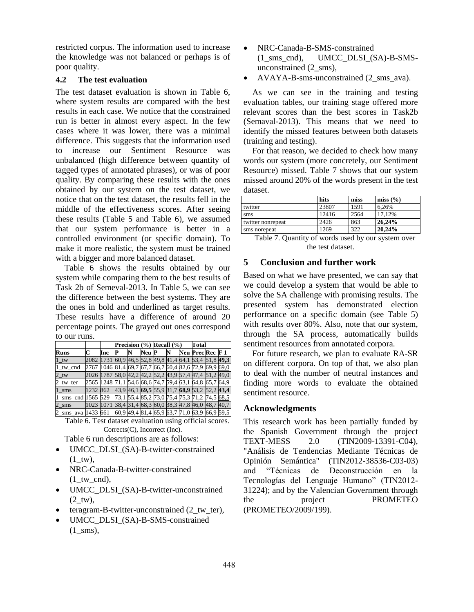restricted corpus. The information used to increase the knowledge was not balanced or perhaps is of poor quality.

#### **4.2 The test evaluation**

The test dataset evaluation is shown in Table 6, where system results are compared with the best results in each case. We notice that the constrained run is better in almost every aspect. In the few cases where it was lower, there was a minimal difference. This suggests that the information used to increase our Sentiment Resource was unbalanced (high difference between quantity of tagged types of annotated phrases), or was of poor quality. By comparing these results with the ones obtained by our system on the test dataset, we notice that on the test dataset, the results fell in the middle of the effectiveness scores. After seeing these results (Table 5 and Table 6), we assumed that our system performance is better in a controlled environment (or specific domain). To make it more realistic, the system must be trained with a bigger and more balanced dataset.

Table 6 shows the results obtained by our system while comparing them to the best results of Task 2b of Semeval-2013. In Table 5, we can see the difference between the best systems. They are the ones in bold and underlined as target results. These results have a difference of around 20 percentage points. The grayed out ones correspond to our runs.

|                     |          |                                                        |   |       | Precision $(\% )$ Recall $(\% )$ | Total                                        |  |
|---------------------|----------|--------------------------------------------------------|---|-------|----------------------------------|----------------------------------------------|--|
| <b>Runs</b>         | C        | Inc                                                    | Р | Neu P |                                  | Neu Prec Rec F 1                             |  |
| $1_{\rm{t}}$        | 2082     | 1731                                                   |   |       |                                  | 60.9 46.5 52.8 49.8 41.4 64.1 53.4 51.8 49.3 |  |
| 1 tw cnd            | 2767     | 1046 81.4 69.7 67.7 66.7 60.4 82.6 72.9 69.9 69.0      |   |       |                                  |                                              |  |
| $2_{\text{tw}}$     |          | 2026 1787                                              |   |       |                                  | 58.0 42.2 42.2 52.2 43.9 57.4 47.4 51.2 49.0 |  |
| $2$ _tw_ter         |          | 2565 1248 71,1 54,6 68,6 74,7 59,4 63,1 64,8 65,7 64,9 |   |       |                                  |                                              |  |
| $1 \; \mathrm{sms}$ | 1232 862 |                                                        |   |       |                                  | 43,9 46,1 69,5 55,9 31,7 68,9 53,2 52,2 43,4 |  |
| 1 sms cnd 1565 529  |          |                                                        |   |       |                                  | 73,1 55,4 85,2 73,0 75,4 75,3 71,2 74,5 68,5 |  |
| 2 sms               | 1023     | 1071                                                   |   |       |                                  | 38.4 31.4 68.3 60.0 38.3 47.8 46.0 48.7 40.7 |  |
| 2_sms_ava 1433 661  |          |                                                        |   |       |                                  | 60.9 49.4 81.4 65.9 63.7 71.0 63.9 66.9 59.5 |  |

Table 6. Test dataset evaluation using official scores. Corrects(C), Incorrect (Inc).

Table 6 run descriptions are as follows:

- UMCC\_DLSI\_(SA)-B-twitter-constrained  $(1$ \_tw $),$
- NRC-Canada-B-twitter-constrained  $(1$  tw cnd),
- UMCC DLSI (SA)-B-twitter-unconstrained  $(2$  tw),
- teragram-B-twitter-unconstrained (2\_tw\_ter),
- UMCC\_DLSI\_(SA)-B-SMS-constrained  $(1$ \_sms),
- NRC-Canada-B-SMS-constrained (1\_sms\_cnd), UMCC\_DLSI\_(SA)-B-SMSunconstrained (2\_sms),
- AVAYA-B-sms-unconstrained (2 sms ava).

As we can see in the training and testing evaluation tables, our training stage offered more relevant scores than the best scores in Task2b (Semaval-2013). This means that we need to identify the missed features between both datasets (training and testing).

For that reason, we decided to check how many words our system (more concretely, our Sentiment Resource) missed. Table 7 shows that our system missed around 20% of the words present in the test dataset.

|                   | hits  | miss | miss $(\% )$ |
|-------------------|-------|------|--------------|
| twitter           | 23807 | 1591 | 6.26%        |
| sms               | 12416 | 2564 | 17.12%       |
| twitter nonrepeat | 2426  | 863  | 26.24%       |
| sms norepeat      | 269   | 322  | 20.24%       |
| _ _ _<br>$\sim$   |       | . .  |              |

Table 7. Quantity of words used by our system over the test dataset.

# **5 Conclusion and further work**

Based on what we have presented, we can say that we could develop a system that would be able to solve the SA challenge with promising results. The presented system has demonstrated election performance on a specific domain (see Table 5) with results over 80%. Also, note that our system, through the SA process, automatically builds sentiment resources from annotated corpora.

For future research, we plan to evaluate RA-SR on different corpora. On top of that, we also plan to deal with the number of neutral instances and finding more words to evaluate the obtained sentiment resource.

# **Acknowledgments**

This research work has been partially funded by the Spanish Government through the project TEXT-MESS 2.0 (TIN2009-13391-C04), "Análisis de Tendencias Mediante Técnicas de Opinión Semántica" (TIN2012-38536-C03-03) and "Técnicas de Deconstrucción en la Tecnologías del Lenguaje Humano" (TIN2012- 31224); and by the Valencian Government through the project PROMETEO (PROMETEO/2009/199).